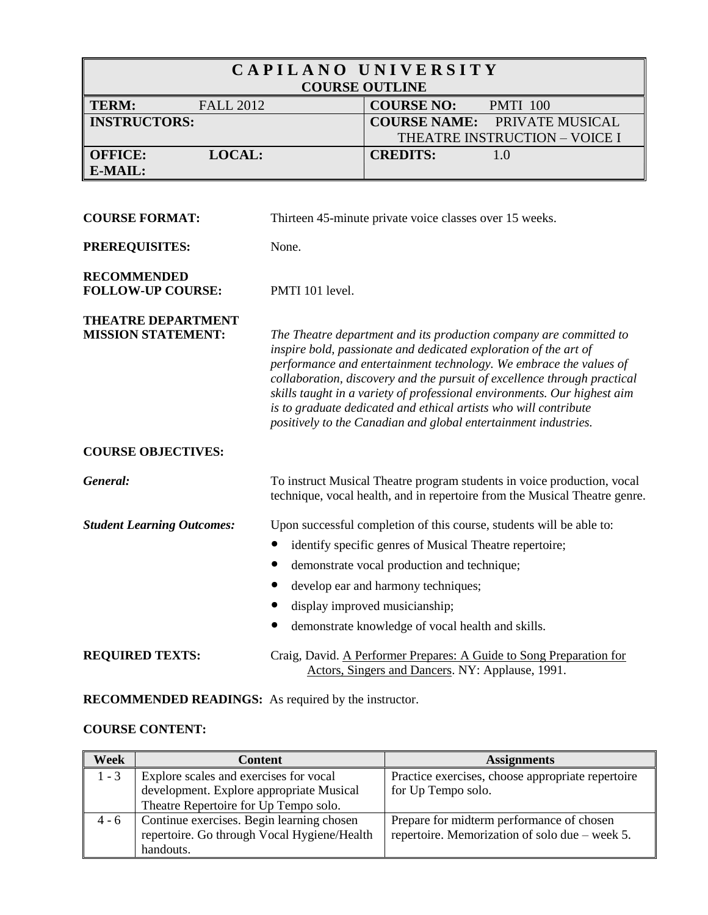| CAPILANO UNIVERSITY<br><b>COURSE OUTLINE</b>           |                                                                                                                                                                                                                                                                                                                                                                                                                                                                                                             |                                                                                                                                                       |
|--------------------------------------------------------|-------------------------------------------------------------------------------------------------------------------------------------------------------------------------------------------------------------------------------------------------------------------------------------------------------------------------------------------------------------------------------------------------------------------------------------------------------------------------------------------------------------|-------------------------------------------------------------------------------------------------------------------------------------------------------|
| <b>TERM:</b><br><b>FALL 2012</b>                       |                                                                                                                                                                                                                                                                                                                                                                                                                                                                                                             | <b>COURSE NO:</b><br><b>PMTI 100</b>                                                                                                                  |
| <b>INSTRUCTORS:</b>                                    |                                                                                                                                                                                                                                                                                                                                                                                                                                                                                                             | <b>COURSE NAME:</b><br>PRIVATE MUSICAL<br>THEATRE INSTRUCTION - VOICE I                                                                               |
| LOCAL:<br><b>OFFICE:</b>                               |                                                                                                                                                                                                                                                                                                                                                                                                                                                                                                             | <b>CREDITS:</b><br>1.0                                                                                                                                |
| E-MAIL:                                                |                                                                                                                                                                                                                                                                                                                                                                                                                                                                                                             |                                                                                                                                                       |
|                                                        |                                                                                                                                                                                                                                                                                                                                                                                                                                                                                                             |                                                                                                                                                       |
| <b>COURSE FORMAT:</b>                                  |                                                                                                                                                                                                                                                                                                                                                                                                                                                                                                             | Thirteen 45-minute private voice classes over 15 weeks.                                                                                               |
| PREREQUISITES:                                         | None.                                                                                                                                                                                                                                                                                                                                                                                                                                                                                                       |                                                                                                                                                       |
| <b>RECOMMENDED</b><br><b>FOLLOW-UP COURSE:</b>         | PMTI 101 level.                                                                                                                                                                                                                                                                                                                                                                                                                                                                                             |                                                                                                                                                       |
| <b>THEATRE DEPARTMENT</b><br><b>MISSION STATEMENT:</b> | The Theatre department and its production company are committed to<br>inspire bold, passionate and dedicated exploration of the art of<br>performance and entertainment technology. We embrace the values of<br>collaboration, discovery and the pursuit of excellence through practical<br>skills taught in a variety of professional environments. Our highest aim<br>is to graduate dedicated and ethical artists who will contribute<br>positively to the Canadian and global entertainment industries. |                                                                                                                                                       |
| <b>COURSE OBJECTIVES:</b>                              |                                                                                                                                                                                                                                                                                                                                                                                                                                                                                                             |                                                                                                                                                       |
| General:                                               |                                                                                                                                                                                                                                                                                                                                                                                                                                                                                                             | To instruct Musical Theatre program students in voice production, vocal<br>technique, vocal health, and in repertoire from the Musical Theatre genre. |
| <b>Student Learning Outcomes:</b>                      |                                                                                                                                                                                                                                                                                                                                                                                                                                                                                                             | Upon successful completion of this course, students will be able to:                                                                                  |
|                                                        |                                                                                                                                                                                                                                                                                                                                                                                                                                                                                                             | identify specific genres of Musical Theatre repertoire;                                                                                               |
|                                                        |                                                                                                                                                                                                                                                                                                                                                                                                                                                                                                             | demonstrate vocal production and technique;                                                                                                           |
|                                                        |                                                                                                                                                                                                                                                                                                                                                                                                                                                                                                             | develop ear and harmony techniques;                                                                                                                   |
|                                                        |                                                                                                                                                                                                                                                                                                                                                                                                                                                                                                             | display improved musicianship;                                                                                                                        |
|                                                        |                                                                                                                                                                                                                                                                                                                                                                                                                                                                                                             | demonstrate knowledge of vocal health and skills.                                                                                                     |
| <b>REQUIRED TEXTS:</b>                                 |                                                                                                                                                                                                                                                                                                                                                                                                                                                                                                             | Craig, David. A Performer Prepares: A Guide to Song Preparation for<br>Actors, Singers and Dancers. NY: Applause, 1991.                               |

# **RECOMMENDED READINGS:** As required by the instructor.

# **COURSE CONTENT:**

| Week    | <b>Content</b>                              | <b>Assignments</b>                                |
|---------|---------------------------------------------|---------------------------------------------------|
| $1 - 3$ | Explore scales and exercises for vocal      | Practice exercises, choose appropriate repertoire |
|         | development. Explore appropriate Musical    | for Up Tempo solo.                                |
|         | Theatre Repertoire for Up Tempo solo.       |                                                   |
| $4 - 6$ | Continue exercises. Begin learning chosen   | Prepare for midterm performance of chosen         |
|         | repertoire. Go through Vocal Hygiene/Health | repertoire. Memorization of solo due – week 5.    |
|         | handouts.                                   |                                                   |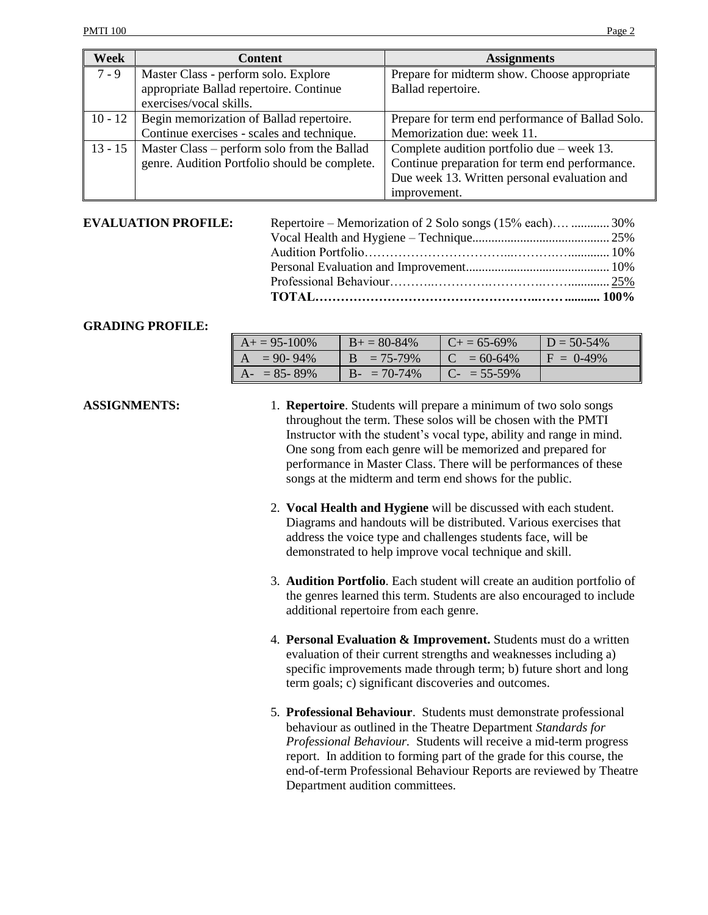| <b>Week</b> | <b>Content</b>                                | <b>Assignments</b>                               |
|-------------|-----------------------------------------------|--------------------------------------------------|
| $7 - 9$     | Master Class - perform solo. Explore          | Prepare for midterm show. Choose appropriate     |
|             | appropriate Ballad repertoire. Continue       | Ballad repertoire.                               |
|             | exercises/vocal skills.                       |                                                  |
| $10 - 12$   | Begin memorization of Ballad repertoire.      | Prepare for term end performance of Ballad Solo. |
|             | Continue exercises - scales and technique.    | Memorization due: week 11.                       |
| $13 - 15$   | Master Class – perform solo from the Ballad   | Complete audition portfolio due $-$ week 13.     |
|             | genre. Audition Portfolio should be complete. | Continue preparation for term end performance.   |
|             |                                               | Due week 13. Written personal evaluation and     |
|             |                                               | improvement.                                     |

#### **EVALUATION PROFILE:**

| Repertoire – Memorization of 2 Solo songs (15% each)  30% |
|-----------------------------------------------------------|

#### **GRADING PROFILE:**

| $A+ = 95-100%$  | $B+=80-84\%$           | $C_{\pm} = 65 - 69\%$ | $D = 50 - 54\%$ |
|-----------------|------------------------|-----------------------|-----------------|
| $A = 90 - 94\%$ | $= 75 - 79\%$          | $C = 60-64\%$         | $F = 0.49\%$    |
| $A- = 85-89%$   | $B - \equiv 70 - 74\%$ | $C_{-}$ = 55-59%      |                 |

- **ASSIGNMENTS:** 1. **Repertoire**. Students will prepare a minimum of two solo songs throughout the term. These solos will be chosen with the PMTI Instructor with the student's vocal type, ability and range in mind. One song from each genre will be memorized and prepared for performance in Master Class. There will be performances of these songs at the midterm and term end shows for the public.
	- 2. **Vocal Health and Hygiene** will be discussed with each student. Diagrams and handouts will be distributed. Various exercises that address the voice type and challenges students face, will be demonstrated to help improve vocal technique and skill.
	- 3. **Audition Portfolio**. Each student will create an audition portfolio of the genres learned this term. Students are also encouraged to include additional repertoire from each genre.
	- 4. **Personal Evaluation & Improvement.** Students must do a written evaluation of their current strengths and weaknesses including a) specific improvements made through term; b) future short and long term goals; c) significant discoveries and outcomes.
	- 5. **Professional Behaviour**. Students must demonstrate professional behaviour as outlined in the Theatre Department *Standards for Professional Behaviour.* Students will receive a mid-term progress report. In addition to forming part of the grade for this course, the end-of-term Professional Behaviour Reports are reviewed by Theatre Department audition committees.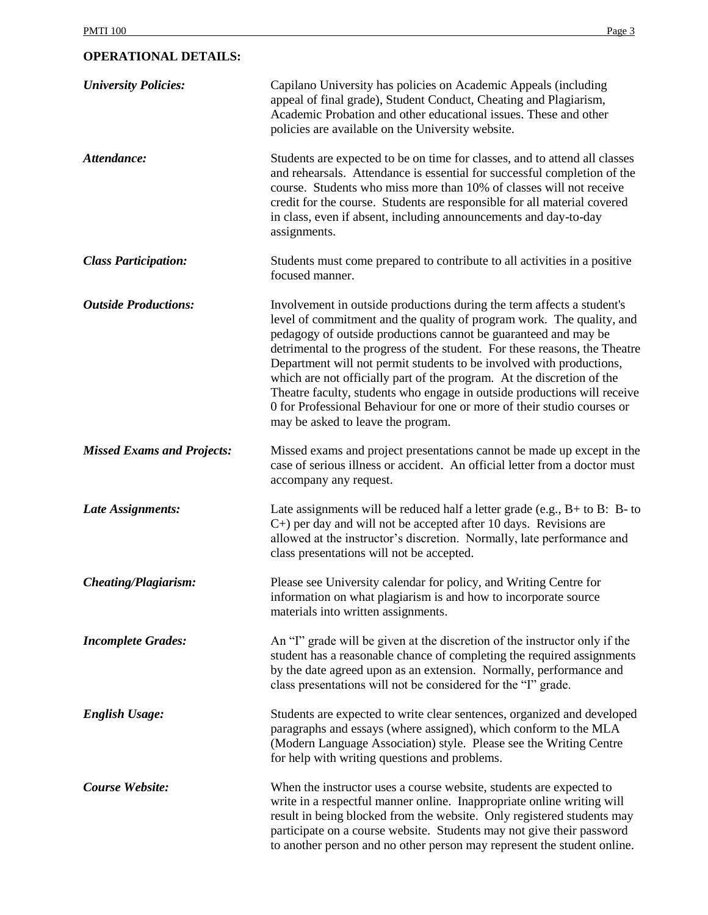## **OPERATIONAL DETAILS:**

| <b>University Policies:</b>       | Capilano University has policies on Academic Appeals (including<br>appeal of final grade), Student Conduct, Cheating and Plagiarism,<br>Academic Probation and other educational issues. These and other<br>policies are available on the University website.                                                                                                                                                                                                                                                                                                                                                                                   |
|-----------------------------------|-------------------------------------------------------------------------------------------------------------------------------------------------------------------------------------------------------------------------------------------------------------------------------------------------------------------------------------------------------------------------------------------------------------------------------------------------------------------------------------------------------------------------------------------------------------------------------------------------------------------------------------------------|
| Attendance:                       | Students are expected to be on time for classes, and to attend all classes<br>and rehearsals. Attendance is essential for successful completion of the<br>course. Students who miss more than 10% of classes will not receive<br>credit for the course. Students are responsible for all material covered<br>in class, even if absent, including announcements and day-to-day<br>assignments.                                                                                                                                                                                                                                                   |
| <b>Class Participation:</b>       | Students must come prepared to contribute to all activities in a positive<br>focused manner.                                                                                                                                                                                                                                                                                                                                                                                                                                                                                                                                                    |
| <b>Outside Productions:</b>       | Involvement in outside productions during the term affects a student's<br>level of commitment and the quality of program work. The quality, and<br>pedagogy of outside productions cannot be guaranteed and may be<br>detrimental to the progress of the student. For these reasons, the Theatre<br>Department will not permit students to be involved with productions,<br>which are not officially part of the program. At the discretion of the<br>Theatre faculty, students who engage in outside productions will receive<br>0 for Professional Behaviour for one or more of their studio courses or<br>may be asked to leave the program. |
| <b>Missed Exams and Projects:</b> | Missed exams and project presentations cannot be made up except in the<br>case of serious illness or accident. An official letter from a doctor must<br>accompany any request.                                                                                                                                                                                                                                                                                                                                                                                                                                                                  |
| Late Assignments:                 | Late assignments will be reduced half a letter grade (e.g., $B+$ to $B$ : $B-$ to<br>$C+$ ) per day and will not be accepted after 10 days. Revisions are<br>allowed at the instructor's discretion. Normally, late performance and<br>class presentations will not be accepted.                                                                                                                                                                                                                                                                                                                                                                |
| <b>Cheating/Plagiarism:</b>       | Please see University calendar for policy, and Writing Centre for<br>information on what plagiarism is and how to incorporate source<br>materials into written assignments.                                                                                                                                                                                                                                                                                                                                                                                                                                                                     |
| <b>Incomplete Grades:</b>         | An "I" grade will be given at the discretion of the instructor only if the<br>student has a reasonable chance of completing the required assignments<br>by the date agreed upon as an extension. Normally, performance and<br>class presentations will not be considered for the "I" grade.                                                                                                                                                                                                                                                                                                                                                     |
| <b>English Usage:</b>             | Students are expected to write clear sentences, organized and developed<br>paragraphs and essays (where assigned), which conform to the MLA<br>(Modern Language Association) style. Please see the Writing Centre<br>for help with writing questions and problems.                                                                                                                                                                                                                                                                                                                                                                              |
| Course Website:                   | When the instructor uses a course website, students are expected to<br>write in a respectful manner online. Inappropriate online writing will<br>result in being blocked from the website. Only registered students may<br>participate on a course website. Students may not give their password<br>to another person and no other person may represent the student online.                                                                                                                                                                                                                                                                     |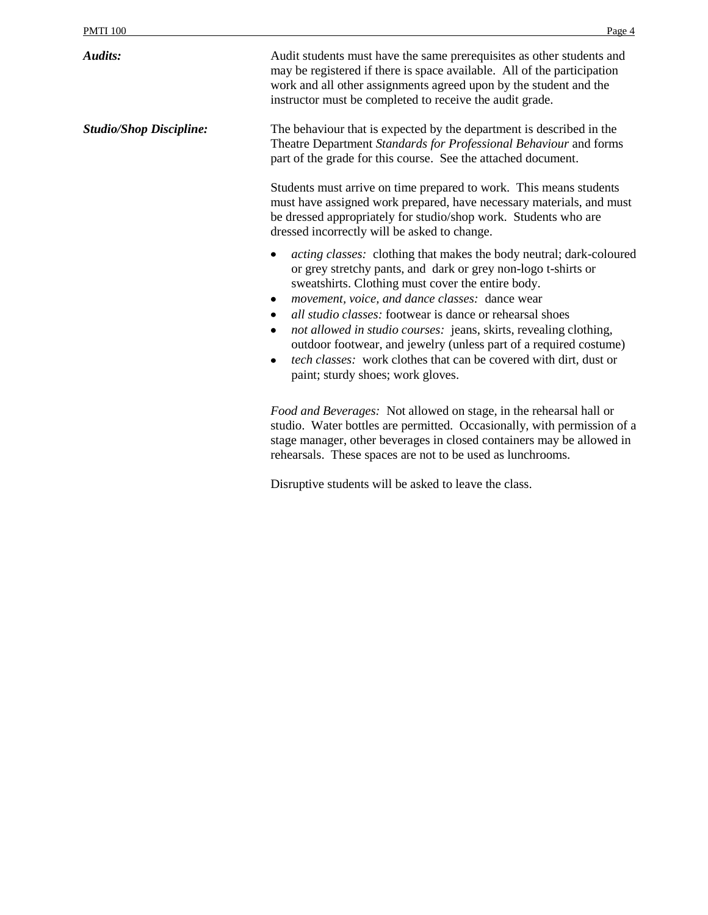*Audits:* Audit students must have the same prerequisites as other students and may be registered if there is space available. All of the participation work and all other assignments agreed upon by the student and the instructor must be completed to receive the audit grade. *Studio/Shop Discipline:* The behaviour that is expected by the department is described in the Theatre Department *Standards for Professional Behaviour* and forms part of the grade for this course. See the attached document. Students must arrive on time prepared to work. This means students must have assigned work prepared, have necessary materials, and must be dressed appropriately for studio/shop work. Students who are dressed incorrectly will be asked to change. *acting classes:* clothing that makes the body neutral; dark-coloured or grey stretchy pants, and dark or grey non-logo t-shirts or sweatshirts. Clothing must cover the entire body. *movement, voice, and dance classes:* dance wear *all studio classes:* footwear is dance or rehearsal shoes *not allowed in studio courses:*jeans, skirts, revealing clothing, outdoor footwear, and jewelry (unless part of a required costume)  $\bullet$ *tech classes:*work clothes that can be covered with dirt, dust or paint; sturdy shoes; work gloves. *Food and Beverages:* Not allowed on stage, in the rehearsal hall or studio. Water bottles are permitted. Occasionally, with permission of a stage manager, other beverages in closed containers may be allowed in rehearsals. These spaces are not to be used as lunchrooms.

Disruptive students will be asked to leave the class.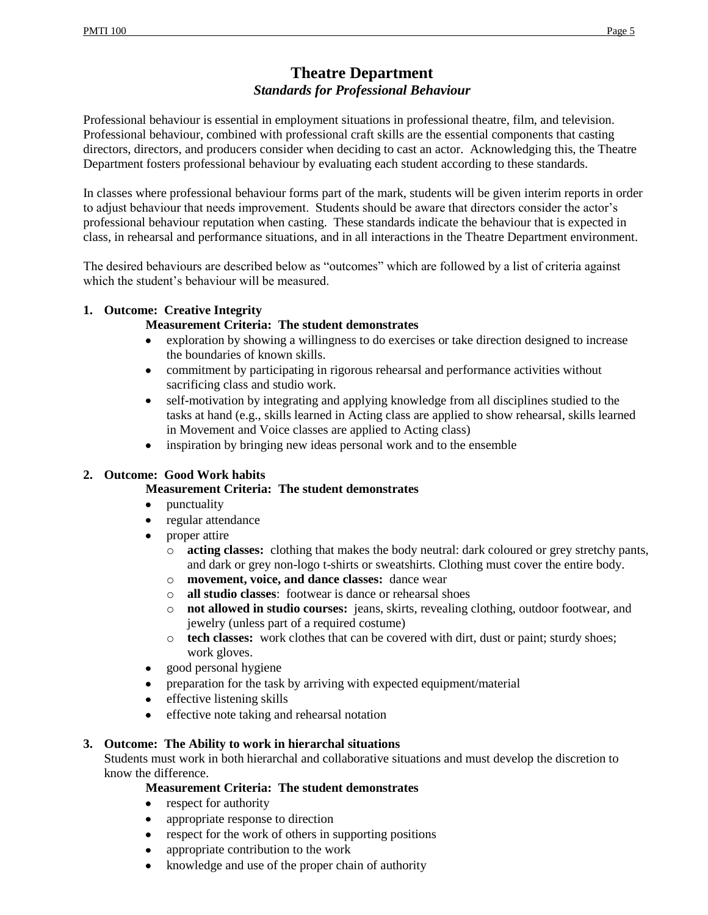# **Theatre Department** *Standards for Professional Behaviour*

Professional behaviour is essential in employment situations in professional theatre, film, and television. Professional behaviour, combined with professional craft skills are the essential components that casting directors, directors, and producers consider when deciding to cast an actor. Acknowledging this, the Theatre Department fosters professional behaviour by evaluating each student according to these standards.

In classes where professional behaviour forms part of the mark, students will be given interim reports in order to adjust behaviour that needs improvement. Students should be aware that directors consider the actor's professional behaviour reputation when casting. These standards indicate the behaviour that is expected in class, in rehearsal and performance situations, and in all interactions in the Theatre Department environment.

The desired behaviours are described below as "outcomes" which are followed by a list of criteria against which the student's behaviour will be measured.

## **1. Outcome: Creative Integrity**

## **Measurement Criteria: The student demonstrates**

- exploration by showing a willingness to do exercises or take direction designed to increase  $\bullet$ the boundaries of known skills.
- commitment by participating in rigorous rehearsal and performance activities without  $\bullet$ sacrificing class and studio work.
- self-motivation by integrating and applying knowledge from all disciplines studied to the  $\bullet$ tasks at hand (e.g., skills learned in Acting class are applied to show rehearsal, skills learned in Movement and Voice classes are applied to Acting class)
- inspiration by bringing new ideas personal work and to the ensemble  $\bullet$

#### **2. Outcome: Good Work habits**

#### **Measurement Criteria: The student demonstrates**

- punctuality
- regular attendance  $\bullet$
- proper attire  $\bullet$ 
	- o **acting classes:** clothing that makes the body neutral: dark coloured or grey stretchy pants, and dark or grey non-logo t-shirts or sweatshirts. Clothing must cover the entire body.
	- o **movement, voice, and dance classes:** dance wear
	- o **all studio classes**: footwear is dance or rehearsal shoes
	- o **not allowed in studio courses:** jeans, skirts, revealing clothing, outdoor footwear, and jewelry (unless part of a required costume)
	- o **tech classes:** work clothes that can be covered with dirt, dust or paint; sturdy shoes; work gloves.
- good personal hygiene  $\bullet$
- preparation for the task by arriving with expected equipment/material  $\bullet$
- effective listening skills  $\bullet$
- effective note taking and rehearsal notation  $\bullet$

#### **3. Outcome: The Ability to work in hierarchal situations**

Students must work in both hierarchal and collaborative situations and must develop the discretion to know the difference.

# **Measurement Criteria: The student demonstrates**

- respect for authority  $\bullet$
- appropriate response to direction  $\bullet$
- respect for the work of others in supporting positions  $\bullet$
- $\bullet$ appropriate contribution to the work
- knowledge and use of the proper chain of authority  $\bullet$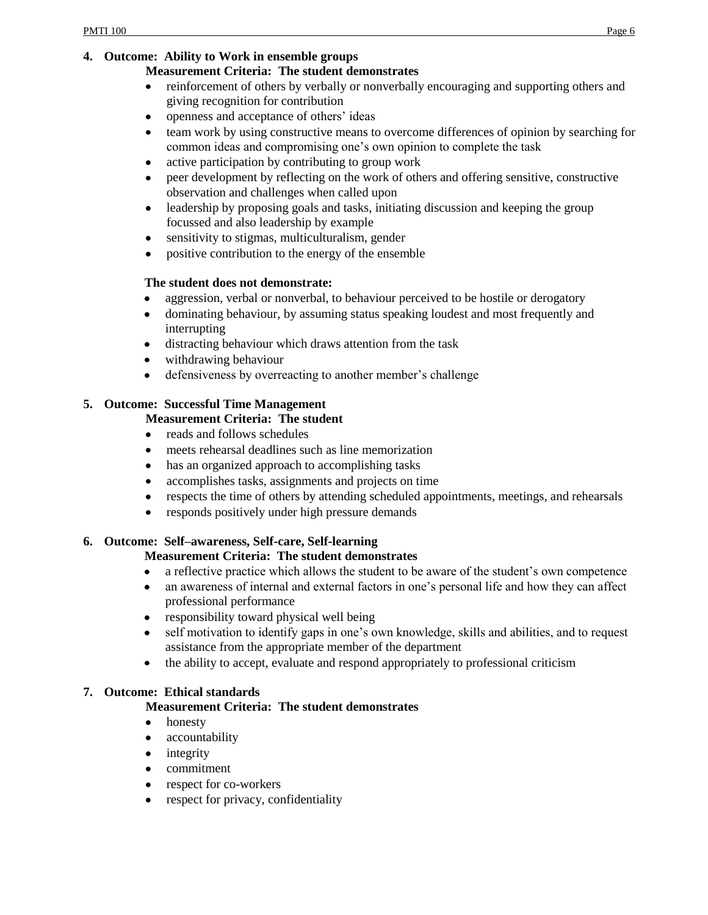## **4. Outcome: Ability to Work in ensemble groups**

#### **Measurement Criteria: The student demonstrates**

- reinforcement of others by verbally or nonverbally encouraging and supporting others and  $\bullet$ giving recognition for contribution
- openness and acceptance of others' ideas  $\bullet$
- team work by using constructive means to overcome differences of opinion by searching for  $\bullet$ common ideas and compromising one's own opinion to complete the task
- active participation by contributing to group work  $\bullet$
- peer development by reflecting on the work of others and offering sensitive, constructive  $\bullet$ observation and challenges when called upon
- leadership by proposing goals and tasks, initiating discussion and keeping the group  $\bullet$ focussed and also leadership by example
- sensitivity to stigmas, multiculturalism, gender  $\bullet$
- positive contribution to the energy of the ensemble

# **The student does not demonstrate:**

- aggression, verbal or nonverbal, to behaviour perceived to be hostile or derogatory  $\bullet$
- dominating behaviour, by assuming status speaking loudest and most frequently and  $\bullet$ interrupting
- distracting behaviour which draws attention from the task
- withdrawing behaviour  $\bullet$
- defensiveness by overreacting to another member's challenge  $\bullet$

# **5. Outcome: Successful Time Management**

# **Measurement Criteria: The student**

- reads and follows schedules  $\bullet$
- meets rehearsal deadlines such as line memorization  $\bullet$
- has an organized approach to accomplishing tasks  $\bullet$
- $\bullet$ accomplishes tasks, assignments and projects on time
- respects the time of others by attending scheduled appointments, meetings, and rehearsals  $\bullet$
- $\bullet$ responds positively under high pressure demands

# **6. Outcome: Self–awareness, Self-care, Self-learning**

# **Measurement Criteria: The student demonstrates**

- a reflective practice which allows the student to be aware of the student's own competence  $\bullet$
- an awareness of internal and external factors in one's personal life and how they can affect  $\bullet$ professional performance
- responsibility toward physical well being
- self motivation to identify gaps in one's own knowledge, skills and abilities, and to request assistance from the appropriate member of the department
- the ability to accept, evaluate and respond appropriately to professional criticism  $\bullet$

# **7. Outcome: Ethical standards**

# **Measurement Criteria: The student demonstrates**

- $\bullet$ honesty
- accountability  $\bullet$
- integrity  $\bullet$
- commitment  $\bullet$
- respect for co-workers  $\bullet$
- respect for privacy, confidentiality $\bullet$